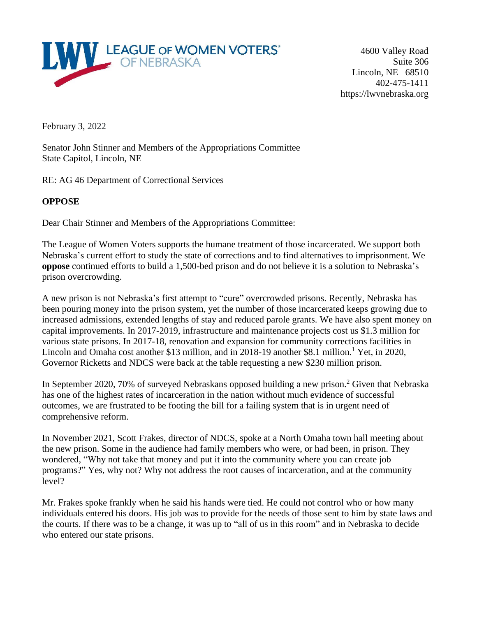

4600 Valley Road Suite 306 Lincoln, NE 68510 402-475-1411 https://lwvnebraska.org

February 3, 2022

Senator John Stinner and Members of the Appropriations Committee State Capitol, Lincoln, NE

RE: AG 46 Department of Correctional Services

## **OPPOSE**

Dear Chair Stinner and Members of the Appropriations Committee:

The League of Women Voters supports the humane treatment of those incarcerated. We support both Nebraska's current effort to study the state of corrections and to find alternatives to imprisonment. We **oppose** continued efforts to build a 1,500-bed prison and do not believe it is a solution to Nebraska's prison overcrowding.

A new prison is not Nebraska's first attempt to "cure" overcrowded prisons. Recently, Nebraska has been pouring money into the prison system, yet the number of those incarcerated keeps growing due to increased admissions, extended lengths of stay and reduced parole grants. We have also spent money on capital improvements. In 2017-2019, infrastructure and maintenance projects cost us \$1.3 million for various state prisons. In 2017-18, renovation and expansion for community corrections facilities in Lincoln and Omaha cost another \$13 million, and in 2018-19 another \$8.1 million.<sup>1</sup> Yet, in 2020, Governor Ricketts and NDCS were back at the table requesting a new \$230 million prison.

In September 2020, 70% of surveyed Nebraskans opposed building a new prison.<sup>2</sup> Given that Nebraska has one of the highest rates of incarceration in the nation without much evidence of successful outcomes, we are frustrated to be footing the bill for a failing system that is in urgent need of comprehensive reform.

In November 2021, Scott Frakes, director of NDCS, spoke at a North Omaha town hall meeting about the new prison. Some in the audience had family members who were, or had been, in prison. They wondered, "Why not take that money and put it into the community where you can create job programs?" Yes, why not? Why not address the root causes of incarceration, and at the community level?

Mr. Frakes spoke frankly when he said his hands were tied. He could not control who or how many individuals entered his doors. His job was to provide for the needs of those sent to him by state laws and the courts. If there was to be a change, it was up to "all of us in this room" and in Nebraska to decide who entered our state prisons.